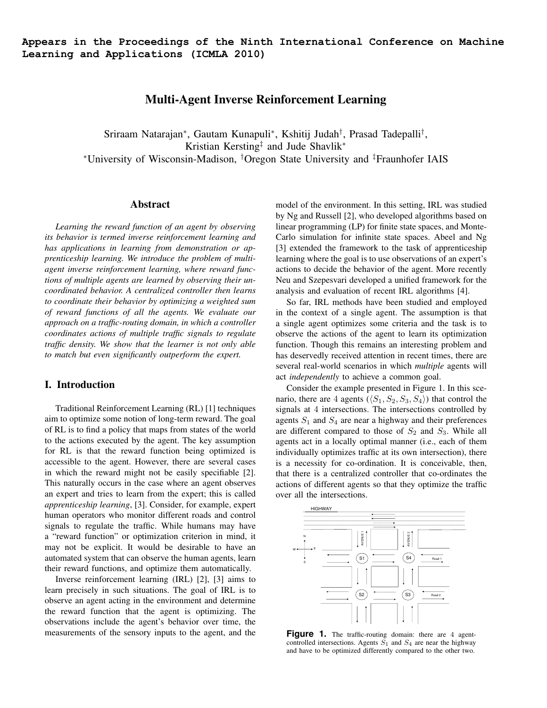# Multi-Agent Inverse Reinforcement Learning

Sriraam Natarajan*<sup>∗</sup>* , Gautam Kunapuli*<sup>∗</sup>* , Kshitij Judah*†* , Prasad Tadepalli*†* , Kristian Kersting*‡* and Jude Shavlik*<sup>∗</sup> <sup>∗</sup>*University of Wisconsin-Madison, *†*Oregon State University and *‡*Fraunhofer IAIS

### Abstract

*Learning the reward function of an agent by observing its behavior is termed inverse reinforcement learning and has applications in learning from demonstration or apprenticeship learning. We introduce the problem of multiagent inverse reinforcement learning, where reward functions of multiple agents are learned by observing their uncoordinated behavior. A centralized controller then learns to coordinate their behavior by optimizing a weighted sum of reward functions of all the agents. We evaluate our approach on a traffic-routing domain, in which a controller coordinates actions of multiple traffic signals to regulate traffic density. We show that the learner is not only able to match but even significantly outperform the expert.*

## I. Introduction

Traditional Reinforcement Learning (RL) [1] techniques aim to optimize some notion of long-term reward. The goal of RL is to find a policy that maps from states of the world to the actions executed by the agent. The key assumption for RL is that the reward function being optimized is accessible to the agent. However, there are several cases in which the reward might not be easily specifiable [2]. This naturally occurs in the case where an agent observes an expert and tries to learn from the expert; this is called *apprenticeship learning*, [3]. Consider, for example, expert human operators who monitor different roads and control signals to regulate the traffic. While humans may have a "reward function" or optimization criterion in mind, it may not be explicit. It would be desirable to have an automated system that can observe the human agents, learn their reward functions, and optimize them automatically.

Inverse reinforcement learning (IRL) [2], [3] aims to learn precisely in such situations. The goal of IRL is to observe an agent acting in the environment and determine the reward function that the agent is optimizing. The observations include the agent's behavior over time, the measurements of the sensory inputs to the agent, and the model of the environment. In this setting, IRL was studied by Ng and Russell [2], who developed algorithms based on linear programming (LP) for finite state spaces, and Monte-Carlo simulation for infinite state spaces. Abeel and Ng [3] extended the framework to the task of apprenticeship learning where the goal is to use observations of an expert's actions to decide the behavior of the agent. More recently Neu and Szepesvari developed a unified framework for the analysis and evaluation of recent IRL algorithms [4].

So far, IRL methods have been studied and employed in the context of a single agent. The assumption is that a single agent optimizes some criteria and the task is to observe the actions of the agent to learn its optimization function. Though this remains an interesting problem and has deservedly received attention in recent times, there are several real-world scenarios in which *multiple* agents will act *independently* to achieve a common goal.

Consider the example presented in Figure 1. In this scenario, there are 4 agents ( $\langle S_1, S_2, S_3, S_4 \rangle$ ) that control the signals at 4 intersections. The intersections controlled by agents *S*<sup>1</sup> and *S*<sup>4</sup> are near a highway and their preferences are different compared to those of  $S_2$  and  $S_3$ . While all agents act in a locally optimal manner (i.e., each of them individually optimizes traffic at its own intersection), there is a necessity for co-ordination. It is conceivable, then, that there is a centralized controller that co-ordinates the actions of different agents so that they optimize the traffic over all the intersections.



**Figure 1.** The traffic-routing domain: there are 4 agentcontrolled intersections. Agents *S*<sup>1</sup> and *S*<sup>4</sup> are near the highway and have to be optimized differently compared to the other two.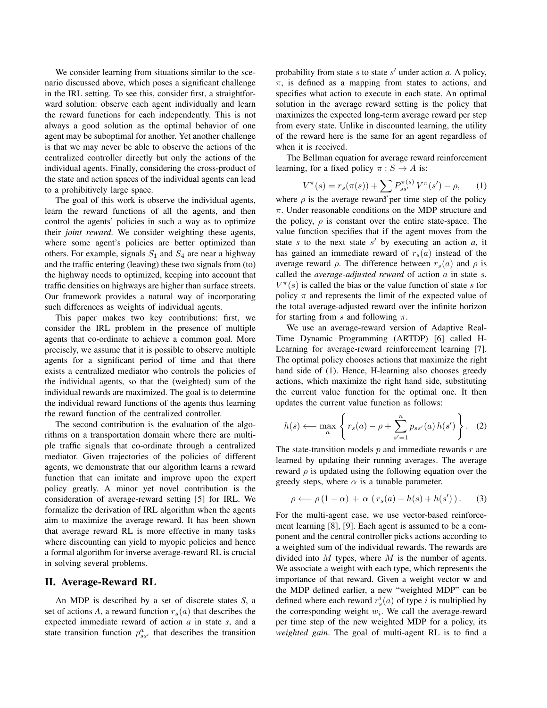We consider learning from situations similar to the scenario discussed above, which poses a significant challenge in the IRL setting. To see this, consider first, a straightforward solution: observe each agent individually and learn the reward functions for each independently. This is not always a good solution as the optimal behavior of one agent may be suboptimal for another. Yet another challenge is that we may never be able to observe the actions of the centralized controller directly but only the actions of the individual agents. Finally, considering the cross-product of the state and action spaces of the individual agents can lead to a prohibitively large space.

The goal of this work is observe the individual agents, learn the reward functions of all the agents, and then control the agents' policies in such a way as to optimize their *joint reward*. We consider weighting these agents, where some agent's policies are better optimized than others. For example, signals  $S_1$  and  $S_4$  are near a highway and the traffic entering (leaving) these two signals from (to) the highway needs to optimized, keeping into account that traffic densities on highways are higher than surface streets. Our framework provides a natural way of incorporating such differences as weights of individual agents.

This paper makes two key contributions: first, we consider the IRL problem in the presence of multiple agents that co-ordinate to achieve a common goal. More precisely, we assume that it is possible to observe multiple agents for a significant period of time and that there exists a centralized mediator who controls the policies of the individual agents, so that the (weighted) sum of the individual rewards are maximized. The goal is to determine the individual reward functions of the agents thus learning the reward function of the centralized controller.

The second contribution is the evaluation of the algorithms on a transportation domain where there are multiple traffic signals that co-ordinate through a centralized mediator. Given trajectories of the policies of different agents, we demonstrate that our algorithm learns a reward function that can imitate and improve upon the expert policy greatly. A minor yet novel contribution is the consideration of average-reward setting [5] for IRL. We formalize the derivation of IRL algorithm when the agents aim to maximize the average reward. It has been shown that average reward RL is more effective in many tasks where discounting can yield to myopic policies and hence a formal algorithm for inverse average-reward RL is crucial in solving several problems.

### II. Average-Reward RL

An MDP is described by a set of discrete states *S*, a set of actions *A*, a reward function  $r_s(a)$  that describes the expected immediate reward of action *a* in state *s*, and a state transition function  $p_{ss}^a$  that describes the transition

probability from state *s* to state *s ′* under action *a*. A policy,  $\pi$ , is defined as a mapping from states to actions, and specifies what action to execute in each state. An optimal solution in the average reward setting is the policy that maximizes the expected long-term average reward per step from every state. Unlike in discounted learning, the utility of the reward here is the same for an agent regardless of when it is received.

The Bellman equation for average reward reinforcement learning, for a fixed policy  $\pi : S \to A$  is:

$$
V^{\pi}(s) = r_s(\pi(s)) + \sum_{s'} P_{ss'}^{\pi(s)} V^{\pi}(s') - \rho, \qquad (1)
$$

where  $\rho$  is the average reward per time step of the policy *π*. Under reasonable conditions on the MDP structure and the policy,  $\rho$  is constant over the entire state-space. The value function specifies that if the agent moves from the state *s* to the next state  $s'$  by executing an action  $a$ , it has gained an immediate reward of  $r<sub>s</sub>(a)$  instead of the average reward  $\rho$ . The difference between  $r_s(a)$  and  $\rho$  is called the *average-adjusted reward* of action *a* in state *s*.  $V^{\pi}(s)$  is called the bias or the value function of state *s* for policy  $\pi$  and represents the limit of the expected value of the total average-adjusted reward over the infinite horizon for starting from *s* and following *π*.

We use an average-reward version of Adaptive Real-Time Dynamic Programming (ARTDP) [6] called H-Learning for average-reward reinforcement learning [7]. The optimal policy chooses actions that maximize the right hand side of (1). Hence, H-learning also chooses greedy actions, which maximize the right hand side, substituting the current value function for the optimal one. It then updates the current value function as follows:

$$
h(s) \longleftarrow \max_{a} \left\{ r_s(a) - \rho + \sum_{s'=1}^{n} p_{ss'}(a) h(s') \right\}.
$$
 (2)

The state-transition models *p* and immediate rewards *r* are learned by updating their running averages. The average reward  $\rho$  is updated using the following equation over the greedy steps, where  $\alpha$  is a tunable parameter.

$$
\rho \longleftarrow \rho (1 - \alpha) + \alpha (r_s(a) - h(s) + h(s')). \tag{3}
$$

For the multi-agent case, we use vector-based reinforcement learning [8], [9]. Each agent is assumed to be a component and the central controller picks actions according to a weighted sum of the individual rewards. The rewards are divided into *M* types, where *M* is the number of agents. We associate a weight with each type, which represents the importance of that reward. Given a weight vector **w** and the MDP defined earlier, a new "weighted MDP" can be defined where each reward  $r_s^i(a)$  of type *i* is multiplied by the corresponding weight  $w_i$ . We call the average-reward per time step of the new weighted MDP for a policy, its *weighted gain*. The goal of multi-agent RL is to find a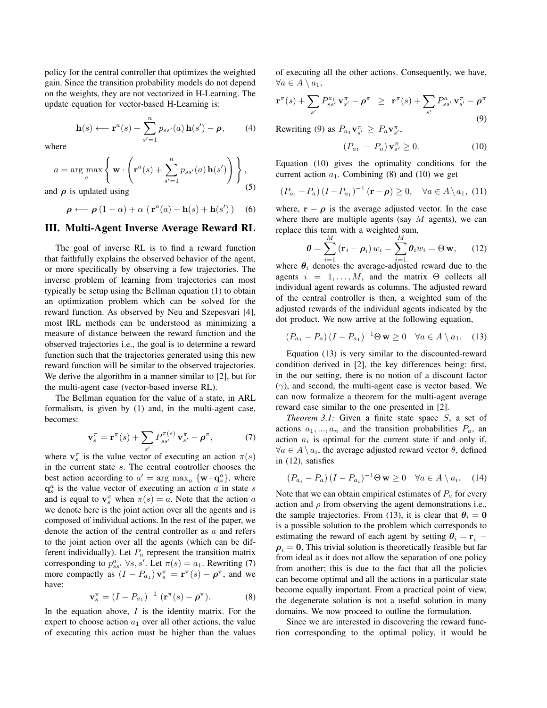policy for the central controller that optimizes the weighted gain. Since the transition probability models do not depend on the weights, they are not vectorized in H-Learning. The update equation for vector-based H-Learning is:

$$
\mathbf{h}(s) \longleftarrow \mathbf{r}^{a}(s) + \sum_{s'=1}^{n} p_{ss'}(a) \mathbf{h}(s') - \boldsymbol{\rho}, \qquad (4)
$$

where

$$
a = \arg \max_{a} \left\{ \mathbf{w} \cdot \left( \mathbf{r}^{a}(s) + \sum_{s'=1}^{n} p_{ss'}(a) \mathbf{h}(s') \right) \right\},
$$
  
and *a* is updated using

and  $\rho$  is updated using

$$
\boldsymbol{\rho} \longleftarrow \boldsymbol{\rho} \left( 1 - \alpha \right) + \alpha \left( \mathbf{r}^{a}(a) - \mathbf{h}(s) + \mathbf{h}(s') \right) \quad (6)
$$

## III. Multi-Agent Inverse Average Reward RL

The goal of inverse RL is to find a reward function that faithfully explains the observed behavior of the agent, or more specifically by observing a few trajectories. The inverse problem of learning from trajectories can most typically be setup using the Bellman equation (1) to obtain an optimization problem which can be solved for the reward function. As observed by Neu and Szepesvari [4], most IRL methods can be understood as minimizing a measure of distance between the reward function and the observed trajectories i.e., the goal is to determine a reward function such that the trajectories generated using this new reward function will be similar to the observed trajectories. We derive the algorithm in a manner similar to [2], but for the multi-agent case (vector-based inverse RL).

The Bellman equation for the value of a state, in ARL formalism, is given by (1) and, in the multi-agent case, becomes:

$$
\mathbf{v}_s^{\pi} = \mathbf{r}^{\pi}(s) + \sum_{s'} P_{ss'}^{\pi(s)} \mathbf{v}_{s'}^{\pi} - \boldsymbol{\rho}^{\pi}, \tag{7}
$$

where  $\mathbf{v}_s^{\pi}$  is the value vector of executing an action  $\pi(s)$ in the current state *s*. The central controller chooses the best action according to  $a' = \arg \max_a {\{\mathbf{w} \cdot \mathbf{q}_s^a\}}$ , where  $q_s^a$  is the value vector of executing an action *a* in state *s* and is equal to  $\mathbf{v}_s^{\pi}$  when  $\pi(s) = a$ . Note that the action *a* we denote here is the joint action over all the agents and is composed of individual actions. In the rest of the paper, we denote the action of the central controller as *a* and refers to the joint action over all the agents (which can be different individually). Let  $P_a$  represent the transition matrix corresponding to  $p_{ss'}^a \,\forall s, s'$ . Let  $\pi(s) = a_1$ . Rewriting (7) more compactly as  $(I - P_{a_1}) \mathbf{v}_s^{\pi} = \mathbf{r}^{\pi}(s) - \boldsymbol{\rho}^{\pi}$ , and we have:

$$
\mathbf{v}_s^{\pi} = (I - P_{a_1})^{-1} (\mathbf{r}^{\pi}(s) - \boldsymbol{\rho}^{\pi}).
$$
 (8)

In the equation above, *I* is the identity matrix. For the expert to choose action  $a_1$  over all other actions, the value of executing this action must be higher than the values of executing all the other actions. Consequently, we have, *∀* $a \in A \setminus a_1$ ,

$$
\mathbf{r}^{\pi}(s) + \sum_{s'} P_{ss'}^{a_1} \mathbf{v}_{s'}^{\pi} - \boldsymbol{\rho}^{\pi} \geq \mathbf{r}^{\pi}(s) + \sum_{s'} P_{ss'}^{a} \mathbf{v}_{s'}^{\pi} - \boldsymbol{\rho}^{\pi}
$$
\n(9)

Rewriting (9) as  $P_{a_1} \mathbf{v}_{s'}^{\pi} \geq P_a \mathbf{v}_{s'}^{\pi}$ ,

$$
(P_{a_1} - P_a) \mathbf{v}_{s'}^{\pi} \ge 0. \tag{10}
$$

Equation (10) gives the optimality conditions for the current action  $a_1$ . Combining (8) and (10) we get

$$
(P_{a_1} - P_a) (I - P_{a_1})^{-1} (\mathbf{r} - \boldsymbol{\rho}) \ge 0, \quad \forall a \in A \setminus a_1, (11)
$$

where,  $\mathbf{r} - \rho$  is the average adjusted vector. In the case where there are multiple agents (say *M* agents), we can replace this term with a weighted sum,

$$
\boldsymbol{\theta} = \sum_{i=1}^{M} (\mathbf{r}_i - \boldsymbol{\rho}_i) w_i = \sum_{i=1}^{M} \boldsymbol{\theta}_i w_i = \Theta \mathbf{w}, \qquad (12)
$$

where  $\theta_i$  denotes the average-adjusted reward due to the agents  $i = 1, \ldots, M$ , and the matrix  $\Theta$  collects all individual agent rewards as columns. The adjusted reward of the central controller is then, a weighted sum of the adjusted rewards of the individual agents indicated by the dot product. We now arrive at the following equation,

$$
(P_{a_1} - P_a) (I - P_{a_1})^{-1} \Theta \mathbf{w} \ge 0 \quad \forall a \in A \setminus a_1. \quad (13)
$$

Equation (13) is very similar to the discounted-reward condition derived in [2], the key differences being: first, in the our setting, there is no notion of a discount factor (*γ*), and second, the multi-agent case is vector based. We can now formalize a theorem for the multi-agent average reward case similar to the one presented in [2].

*Theorem 3.1:* Given a finite state space *S*, a set of actions  $a_1, \ldots, a_n$  and the transition probabilities  $P_a$ , an action  $a_i$  is optimal for the current state if and only if,  $\forall a \in A \setminus a_i$ , the average adjusted reward vector  $\theta$ , defined in (12), satisfies

$$
(P_{a_i} - P_a) (I - P_{a_i})^{-1} \Theta \mathbf{w} \ge 0 \quad \forall a \in A \setminus a_i. \quad (14)
$$

Note that we can obtain empirical estimates of *P<sup>a</sup>* for every action and  $\rho$  from observing the agent demonstrations i.e., the sample trajectories. From (13), it is clear that  $\theta_i = 0$ is a possible solution to the problem which corresponds to estimating the reward of each agent by setting  $\theta_i = \mathbf{r}_i$  –  $\rho_i = 0$ . This trivial solution is theoretically feasible but far from ideal as it does not allow the separation of one policy from another; this is due to the fact that all the policies can become optimal and all the actions in a particular state become equally important. From a practical point of view, the degenerate solution is not a useful solution in many domains. We now proceed to outline the formulation.

Since we are interested in discovering the reward function corresponding to the optimal policy, it would be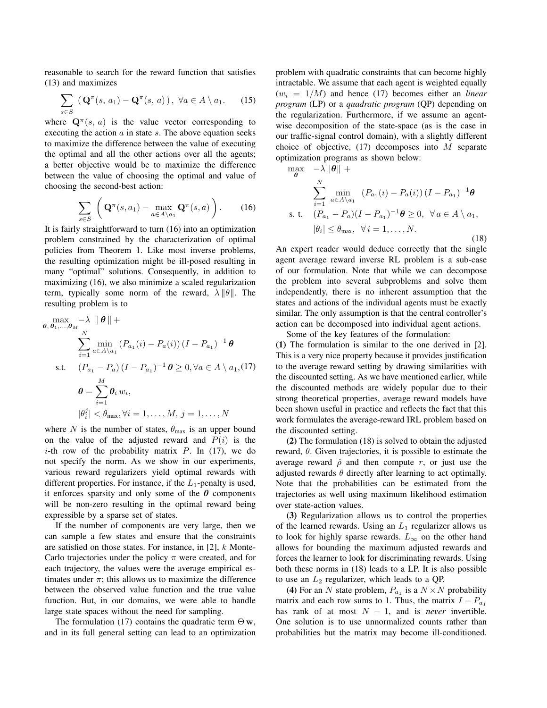reasonable to search for the reward function that satisfies (13) and maximizes

$$
\sum_{s \in S} \left( \mathbf{Q}^{\pi}(s, a_1) - \mathbf{Q}^{\pi}(s, a) \right), \ \forall a \in A \setminus a_1. \tag{15}
$$

where  $\mathbf{Q}^{\pi}(s, a)$  is the value vector corresponding to executing the action *a* in state *s*. The above equation seeks to maximize the difference between the value of executing the optimal and all the other actions over all the agents; a better objective would be to maximize the difference between the value of choosing the optimal and value of choosing the second-best action:

$$
\sum_{s \in S} \left( \mathbf{Q}^{\pi}(s, a_1) - \max_{a \in A \setminus a_1} \mathbf{Q}^{\pi}(s, a) \right). \tag{16}
$$

It is fairly straightforward to turn (16) into an optimization problem constrained by the characterization of optimal policies from Theorem 1. Like most inverse problems, the resulting optimization might be ill-posed resulting in many "optimal" solutions. Consequently, in addition to maximizing (16), we also minimize a scaled regularization term, typically some norm of the reward, *λ ∥θ∥*. The resulting problem is to

$$
\theta, \theta_1, ..., \theta_M \rightarrow \mathbb{R}
$$
\n
$$
\sum_{i=1}^N \min_{a \in A \setminus a_1} (P_{a_1}(i) - P_a(i))(I - P_{a_1})^{-1} \theta
$$
\n
$$
\text{s.t.} \quad (P_{a_1} - P_a)(I - P_{a_1})^{-1} \theta \ge 0, \forall a \in A \setminus a_1, (17)
$$
\n
$$
\theta = \sum_{i=1}^M \theta_i w_i,
$$
\n
$$
|\theta_i^j| < \theta_{\text{max}}, \forall i = 1, ..., M, j = 1, ..., N
$$

where *N* is the number of states,  $\theta_{\text{max}}$  is an upper bound on the value of the adjusted reward and  $P(i)$  is the *i*-th row of the probability matrix *P*. In (17), we do not specify the norm. As we show in our experiments, various reward regularizers yield optimal rewards with different properties. For instance, if the  $L_1$ -penalty is used, it enforces sparsity and only some of the  $\theta$  components will be non-zero resulting in the optimal reward being expressible by a sparse set of states.

If the number of components are very large, then we can sample a few states and ensure that the constraints are satisfied on those states. For instance, in [2], *k* Monte-Carlo trajectories under the policy  $\pi$  were created, and for each trajectory, the values were the average empirical estimates under  $\pi$ ; this allows us to maximize the difference between the observed value function and the true value function. But, in our domains, we were able to handle large state spaces without the need for sampling.

The formulation (17) contains the quadratic term  $\Theta$  **w**, and in its full general setting can lead to an optimization problem with quadratic constraints that can become highly intractable. We assume that each agent is weighted equally  $(w_i = 1/M)$  and hence (17) becomes either an *linear program* (LP) or a *quadratic program* (QP) depending on the regularization. Furthermore, if we assume an agentwise decomposition of the state-space (as is the case in our traffic-signal control domain), with a slightly different choice of objective, (17) decomposes into *M* separate optimization programs as shown below:

$$
\max_{\theta} \quad -\lambda \|\theta\| +
$$
\n
$$
\sum_{i=1}^{N} \min_{a \in A \setminus a_1} (P_{a_1}(i) - P_a(i))(I - P_{a_1})^{-1}\theta
$$
\ns. t. 
$$
(P_{a_1} - P_a)(I - P_{a_1})^{-1}\theta \ge 0, \ \forall a \in A \setminus a_1,
$$
\n
$$
|\theta_i| \le \theta_{\text{max}}, \ \forall i = 1, ..., N.
$$
\n(18)

An expert reader would deduce correctly that the single agent average reward inverse RL problem is a sub-case of our formulation. Note that while we can decompose the problem into several subproblems and solve them independently, there is no inherent assumption that the states and actions of the individual agents must be exactly similar. The only assumption is that the central controller's action can be decomposed into individual agent actions.

Some of the key features of the formulation:

(1) The formulation is similar to the one derived in [2]. This is a very nice property because it provides justification to the average reward setting by drawing similarities with the discounted setting. As we have mentioned earlier, while the discounted methods are widely popular due to their strong theoretical properties, average reward models have been shown useful in practice and reflects the fact that this work formulates the average-reward IRL problem based on the discounted setting.

(2) The formulation (18) is solved to obtain the adjusted reward, *θ*. Given trajectories, it is possible to estimate the average reward  $\hat{\rho}$  and then compute *r*, or just use the adjusted rewards  $\theta$  directly after learning to act optimally. Note that the probabilities can be estimated from the trajectories as well using maximum likelihood estimation over state-action values.

(3) Regularization allows us to control the properties of the learned rewards. Using an *L*<sup>1</sup> regularizer allows us to look for highly sparse rewards.  $L_{\infty}$  on the other hand allows for bounding the maximum adjusted rewards and forces the learner to look for discriminating rewards. Using both these norms in (18) leads to a LP. It is also possible to use an *L*<sup>2</sup> regularizer, which leads to a QP.

(4) For an *N* state problem,  $P_{a_1}$  is a  $N \times N$  probability matrix and each row sums to 1. Thus, the matrix  $I - P_{a_1}$ has rank of at most  $N-1$ , and is *never* invertible. One solution is to use unnormalized counts rather than probabilities but the matrix may become ill-conditioned.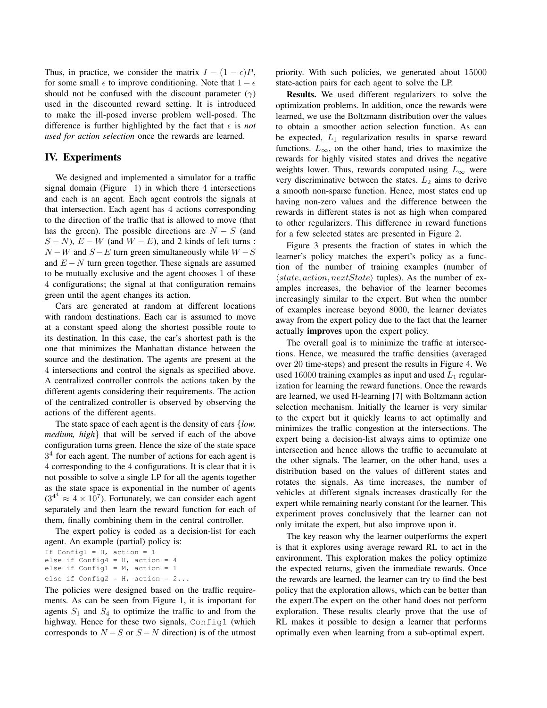Thus, in practice, we consider the matrix  $I - (1 - \epsilon)P$ , for some small  $\epsilon$  to improve conditioning. Note that  $1 - \epsilon$ should not be confused with the discount parameter  $(\gamma)$ used in the discounted reward setting. It is introduced to make the ill-posed inverse problem well-posed. The difference is further highlighted by the fact that  $\epsilon$  is *not used for action selection* once the rewards are learned.

## IV. Experiments

We designed and implemented a simulator for a traffic signal domain (Figure 1) in which there 4 intersections and each is an agent. Each agent controls the signals at that intersection. Each agent has 4 actions corresponding to the direction of the traffic that is allowed to move (that has the green). The possible directions are  $N - S$  (and  $S - N$ ,  $E - W$  (and  $W - E$ ), and 2 kinds of left turns :  $N - W$  and  $S - E$  turn green simultaneously while  $W - S$ and *E −N* turn green together. These signals are assumed to be mutually exclusive and the agent chooses 1 of these 4 configurations; the signal at that configuration remains green until the agent changes its action.

Cars are generated at random at different locations with random destinations. Each car is assumed to move at a constant speed along the shortest possible route to its destination. In this case, the car's shortest path is the one that minimizes the Manhattan distance between the source and the destination. The agents are present at the 4 intersections and control the signals as specified above. A centralized controller controls the actions taken by the different agents considering their requirements. The action of the centralized controller is observed by observing the actions of the different agents.

The state space of each agent is the density of cars *{low, medium, high}* that will be served if each of the above configuration turns green. Hence the size of the state space  $3<sup>4</sup>$  for each agent. The number of actions for each agent is 4 corresponding to the 4 configurations. It is clear that it is not possible to solve a single LP for all the agents together as the state space is exponential in the number of agents  $(3^{4^4} \approx 4 \times 10^7)$ . Fortunately, we can consider each agent separately and then learn the reward function for each of them, finally combining them in the central controller.

The expert policy is coded as a decision-list for each agent. An example (partial) policy is:

```
If Config1 = H, action = 1
else if Config4 = H, action = 4
else if Config1 = M, action = 1
else if Config2 = H, action = 2...
```
The policies were designed based on the traffic requirements. As can be seen from Figure 1, it is important for agents  $S_1$  and  $S_4$  to optimize the traffic to and from the highway. Hence for these two signals, Config1 (which corresponds to  $N - S$  or  $S - N$  direction) is of the utmost priority. With such policies, we generated about 15000 state-action pairs for each agent to solve the LP.

Results. We used different regularizers to solve the optimization problems. In addition, once the rewards were learned, we use the Boltzmann distribution over the values to obtain a smoother action selection function. As can be expected,  $L_1$  regularization results in sparse reward functions.  $L_{\infty}$ , on the other hand, tries to maximize the rewards for highly visited states and drives the negative weights lower. Thus, rewards computed using  $L_{\infty}$  were very discriminative between the states. *L*<sup>2</sup> aims to derive a smooth non-sparse function. Hence, most states end up having non-zero values and the difference between the rewards in different states is not as high when compared to other regularizers. This difference in reward functions for a few selected states are presented in Figure 2.

Figure 3 presents the fraction of states in which the learner's policy matches the expert's policy as a function of the number of training examples (number of *⟨state, action, nextState⟩* tuples). As the number of examples increases, the behavior of the learner becomes increasingly similar to the expert. But when the number of examples increase beyond 8000, the learner deviates away from the expert policy due to the fact that the learner actually improves upon the expert policy.

The overall goal is to minimize the traffic at intersections. Hence, we measured the traffic densities (averaged over 20 time-steps) and present the results in Figure 4. We used 16000 training examples as input and used  $L_1$  regularization for learning the reward functions. Once the rewards are learned, we used H-learning [7] with Boltzmann action selection mechanism. Initially the learner is very similar to the expert but it quickly learns to act optimally and minimizes the traffic congestion at the intersections. The expert being a decision-list always aims to optimize one intersection and hence allows the traffic to accumulate at the other signals. The learner, on the other hand, uses a distribution based on the values of different states and rotates the signals. As time increases, the number of vehicles at different signals increases drastically for the expert while remaining nearly constant for the learner. This experiment proves conclusively that the learner can not only imitate the expert, but also improve upon it.

The key reason why the learner outperforms the expert is that it explores using average reward RL to act in the environment. This exploration makes the policy optimize the expected returns, given the immediate rewards. Once the rewards are learned, the learner can try to find the best policy that the exploration allows, which can be better than the expert.The expert on the other hand does not perform exploration. These results clearly prove that the use of RL makes it possible to design a learner that performs optimally even when learning from a sub-optimal expert.